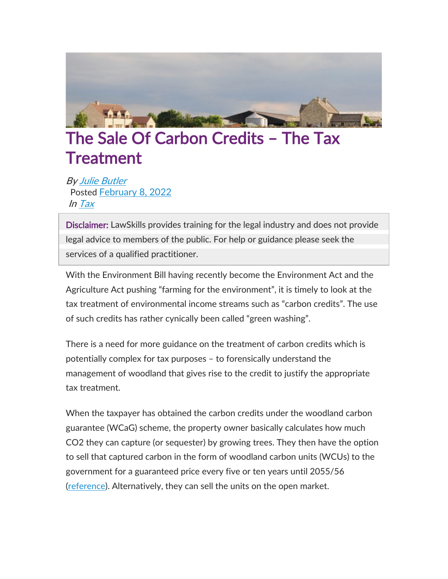

## The Sale Of Carbon Credits – The Tax **Treatment**

By Julie [Butler](https://www.lawskills.co.uk/articles/author/julie-butler/) Posted [February](https://www.lawskills.co.uk/articles/2022/02/) 8, 2022 In [Tax](https://www.lawskills.co.uk/articles/category/tax/)

Disclaimer: LawSkills provides training for the legal industry and does not provide legal advice to members of the public. For help or guidance please seek the services of a qualified practitioner.

With the Environment Bill having recently become the Environment Act and the Agriculture Act pushing "farming for the environment", it is timely to look at the tax treatment of environmental income streams such as "carbon credits". The use of such credits has rather cynically been called "green washing".

There is a need for more guidance on the treatment of carbon credits which is potentially complex for tax purposes – to forensically understand the management of woodland that gives rise to the credit to justify the appropriate tax treatment.

When the taxpayer has obtained the carbon credits under the woodland carbon guarantee (WCaG) scheme, the property owner basically calculates how much CO2 they can capture (or sequester) by growing trees. They then have the option to sell that captured carbon in the form of woodland carbon units (WCUs) to the government for a guaranteed price every five or ten years until 2055/56 [\(reference\)](http://tinyurl.com/eevth46). Alternatively, they can sell the units on the open market.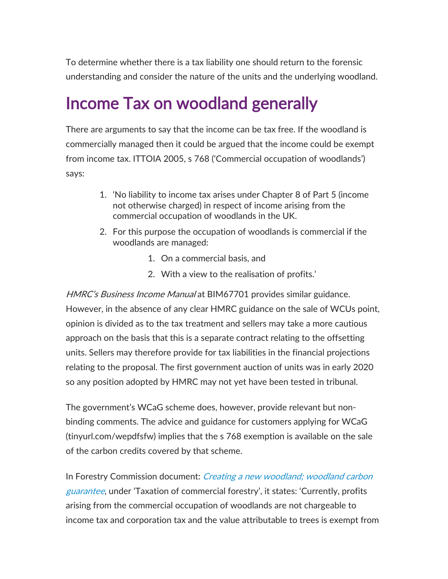To determine whether there is a tax liability one should return to the forensic understanding and consider the nature of the units and the underlying woodland.

## Income Tax on woodland generally

There are arguments to say that the income can be tax free. If the woodland is commercially managed then it could be argued that the income could be exempt from income tax. ITTOIA 2005, s 768 ('Commercial occupation of woodlands') says:

- 1. 'No liability to income tax arises under Chapter 8 of Part 5 (income not otherwise charged) in respect of income arising from the commercial occupation of woodlands in the UK.
- 2. For this purpose the occupation of woodlands is commercial if the woodlands are managed:
	- 1. On a commercial basis, and
	- 2. With a view to the realisation of profits.'

HMRC's Business Income Manual at BIM67701 provides similar guidance. However, in the absence of any clear HMRC guidance on the sale of WCUs point, opinion is divided as to the tax treatment and sellers may take a more cautious approach on the basis that this is a separate contract relating to the offsetting units. Sellers may therefore provide for tax liabilities in the financial projections relating to the proposal. The first government auction of units was in early 2020 so any position adopted by HMRC may not yet have been tested in tribunal.

The government's WCaG scheme does, however, provide relevant but nonbinding comments. The advice and guidance for customers applying for WCaG (tinyurl.com/wepdfsfw) implies that the s 768 exemption is available on the sale of the carbon credits covered by that scheme.

In Forestry Commission document: *Creating a new [woodland;](http://tinyurl.com/x5bp2kkx) woodland carbon* [guarantee](http://tinyurl.com/x5bp2kkx), under 'Taxation of commercial forestry', it states: 'Currently, profits arising from the commercial occupation of woodlands are not chargeable to income tax and corporation tax and the value attributable to trees is exempt from